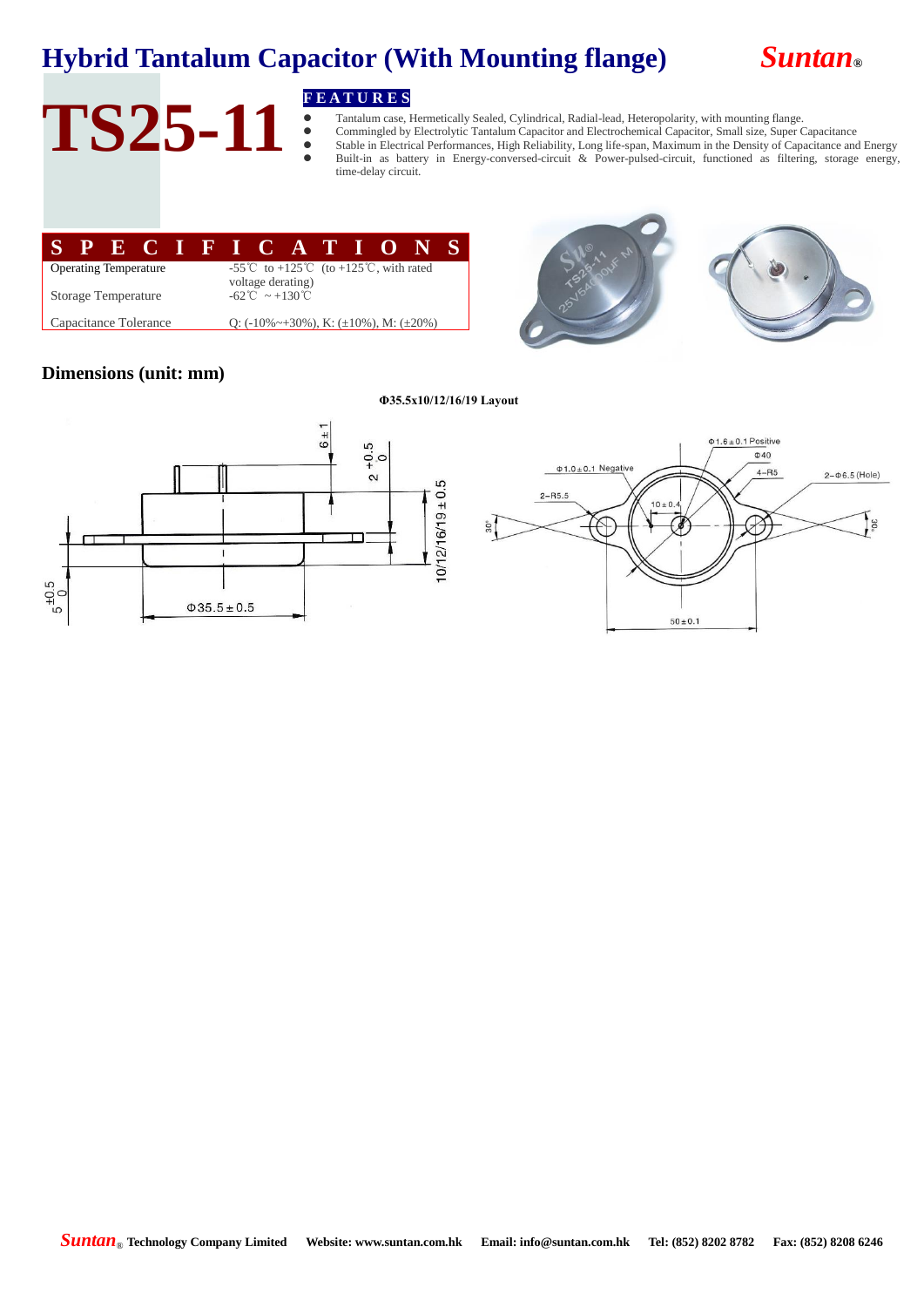## **Hybrid Tantalum Capacitor (With Mounting flange)** *Suntan***®**



# TS25-11 **FEATURES**

 Tantalum case, Hermetically Sealed, Cylindrical, Radial-lead, Heteropolarity, with mounting flange. Commingled by Electrolytic Tantalum Capacitor and Electrochemical Capacitor, Small size, Super Capacitance Stable in Electrical Performances, High Reliability, Long life-span, Maximum in the Density of Capacitance and Energy Built-in as battery in Energy-conversed-circuit & Power-pulsed-circuit, functioned as filtering, storage energy, time-delay circuit.

| -55 <sup>°</sup> C to +125 <sup>°</sup> C (to +125 <sup>°</sup> C, with rated<br><b>Operating Temperature</b> |                                                 |  |  |  |  |  |  |
|---------------------------------------------------------------------------------------------------------------|-------------------------------------------------|--|--|--|--|--|--|
| voltage derating)                                                                                             |                                                 |  |  |  |  |  |  |
| Storage Temperature                                                                                           | $-62^{\circ}\text{C} \sim +130^{\circ}\text{C}$ |  |  |  |  |  |  |
| Capacitance Tolerance<br>Q: $(-10\% \sim +30\%)$ , K: $(\pm 10\%)$ , M: $(\pm 20\%)$                          |                                                 |  |  |  |  |  |  |





### **Dimensions (unit: mm)**